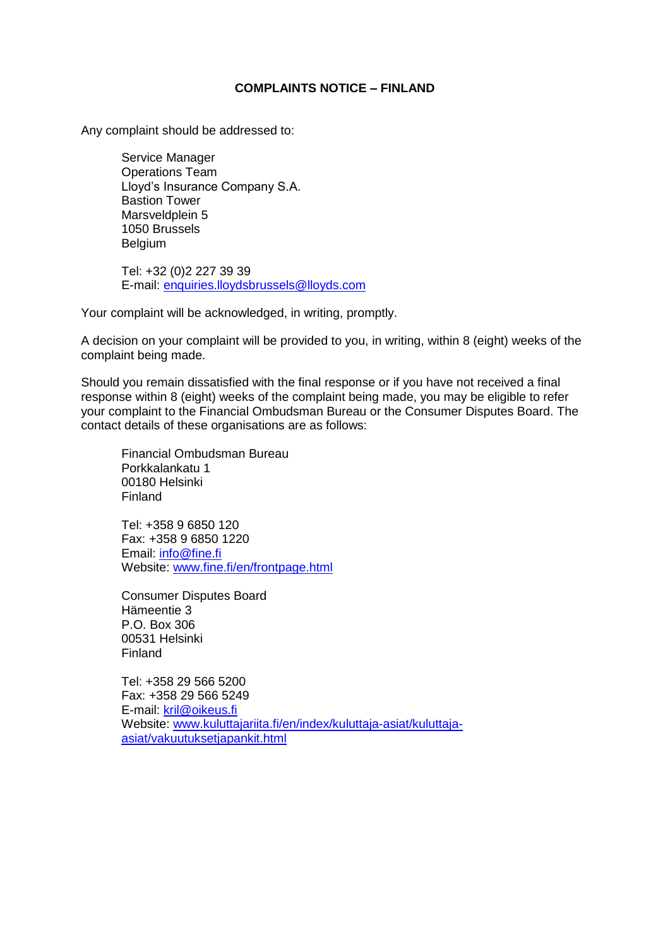## **COMPLAINTS NOTICE – FINLAND**

Any complaint should be addressed to:

Service Manager Operations Team Lloyd's Insurance Company S.A. Bastion Tower Marsveldplein 5 1050 Brussels Belgium

Tel: +32 (0)2 227 39 39 E-mail: [enquiries.lloydsbrussels@lloyds.com](mailto:enquiries.lloydsbrussels@lloyds.com)

Your complaint will be acknowledged, in writing, promptly.

A decision on your complaint will be provided to you, in writing, within 8 (eight) weeks of the complaint being made.

Should you remain dissatisfied with the final response or if you have not received a final response within 8 (eight) weeks of the complaint being made, you may be eligible to refer your complaint to the Financial Ombudsman Bureau or the Consumer Disputes Board. The contact details of these organisations are as follows:

Financial Ombudsman Bureau Porkkalankatu 1 00180 Helsinki Finland

Tel: +358 9 6850 120 Fax: +358 9 6850 1220 Email: [info@fine.fi](mailto:info@fine.fi) Website: [www.fine.fi/en/frontpage.html](http://www.fine.fi/en/frontpage.html)

Consumer Disputes Board Hämeentie 3 P.O. Box 306 00531 Helsinki Finland

Tel: +358 29 566 5200 Fax: +358 29 566 5249 E-mail: [kril@oikeus.fi](mailto:kril@oikeus.fi) Website: [www.kuluttajariita.fi/en/index/kuluttaja-asiat/kuluttaja](http://www.kuluttajariita.fi/en/index/kuluttaja-asiat/kuluttaja-asiat/vakuutuksetjapankit.html)[asiat/vakuutuksetjapankit.html](http://www.kuluttajariita.fi/en/index/kuluttaja-asiat/kuluttaja-asiat/vakuutuksetjapankit.html)